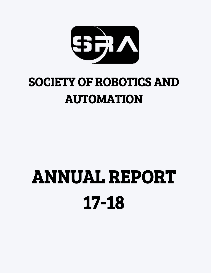

## SOCIETY OF ROBOTICS AND AUTOMATION

## ANNUAL REPORT 17-18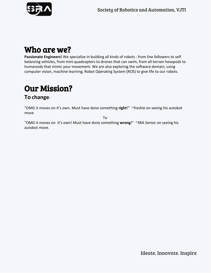

## Who are we?

**Passionate Engineers!** We specialize in building all kinds of robots : from line followers to self balancing vehicles, from mini quadcopters to drones that can swim, from all terrain hexapods to humanoids that mimic your movement. We are also exploring the software domain, using computer vision, machine learning, Robot Operating System (ROS) to give life to our robots.

## Our Mission?

#### **To change**:

"OMG it moves on it's own. Must have done something **right**!" ~freshie on seeing his autobot move

To

"OMG it moves on it's own! Must have done something **wrong**!" ~SRA Senior on seeing his autobot move.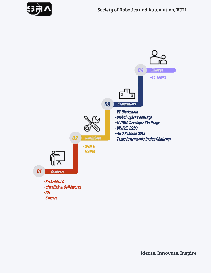

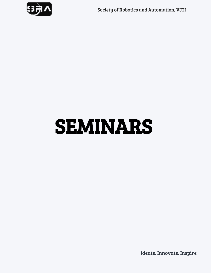

## SEMINARS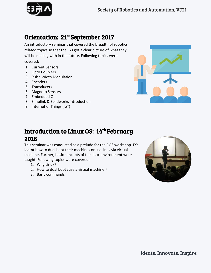## Orientation: 21<sup>st</sup>September 2017

An introductory seminar that covered the breadth of robotics related topics so that the FYs got a clear picture of what they will be dealing with in the future. Following topics were covered:

- 1. Current Sensors
- 2. Opto Couplers
- 3. Pulse Width Modulation
- 4. Encoders
- 5. Transducers
- 6. Magneto Sensors
- 7. Embedded C
- 8. Simulink & Solidworks introduction
- 9. Internet of Things (IoT)



## Introduction to Linux OS: 14<sup>th</sup> February 2018

This seminar was conducted as a prelude for the ROS workshop. FYs learnt how to dual boot their machines or use linux via virtual machine. Further, basic concepts of the linux environment were taught. Following topics were covered:

- 1. Why Linux?
- 2. How to dual boot /use a virtual machine ?
- 3. Basic commands

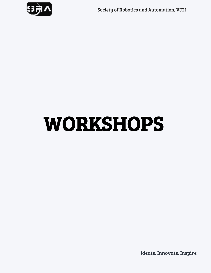

## WORKSHOPS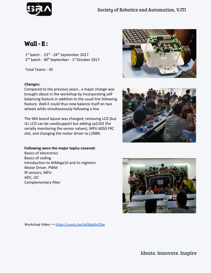

## Wall -  $E$ :

 $1<sup>st</sup>$  batch -  $23<sup>rd</sup>$  -  $24<sup>th</sup>$  September 2017 2<sup>nd</sup> batch - 30<sup>th</sup> September - 1<sup>st</sup> October 2017

Total Teams - 45

#### *Changes:*

Compared to the previous years , a major change was brought about in the workshop by incorporating self balancing feature in addition to the usual line following feature. Wall-E could thus now balance itself on two wheels while simultaneously following a line.

The SRA board layout was changed; removing LCD (but i2c LCD can be used)support but adding cp2102 (for serially monitoring the sensor values), MPU 6050 FRC slot, and changing the motor driver to L298N.

#### **Following were the major topics covered:**

Basics of electronics Basics of coding Introduction to AtMega16 and its registers Motor Driver, PWM IR sensors, MPU ADC, I2C Complementary filter







Workshop Video → <https://youtu.be/IxGWgHlnZDw>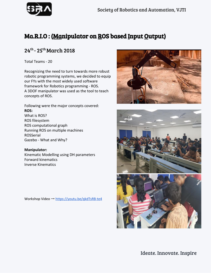## Ma.R.I.O : (Manipulator on ROS based Input Output)

### 24<sup>th</sup> - 25<sup>th</sup> March 2018

Total Teams - 20

Recognizing the need to turn towards more robust robotic programming systems, we decided to equip our FYs with the most widely used software framework for Robotics programming - ROS. A 3DOF manipulator was used as the tool to teach concepts of ROS.

Following were the major concepts covered: **ROS:** What is ROS?

ROS filesystem ROS computational graph Running ROS on multiple machines ROSSerial Gazebo - What and Why?

**Manipulator:** Kinematic Modelling using DH parameters Forward kinematics Inverse Kinematics

Workshop Video → <https://youtu.be/qkdTsRB-te4>



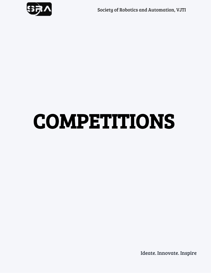

## COMPETITIONS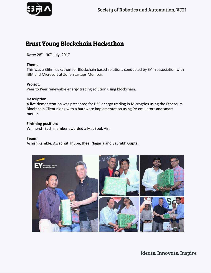

## Ernst Young Blockchain Hackathon

**Date**: 28<sup>th</sup> - 30<sup>th</sup> July, 2017

#### **Theme**:

This was a 36hr hackathon for Blockchain based solutions conducted by EY in association with IBM and Microsoft at Zone Startups,Mumbai.

#### **Project**:

Peer to Peer renewable energy trading solution using blockchain.

#### **Description**:

A live demonstration was presented for P2P energy trading in Microgrids using the Ethereum Blockchain Client along with a hardware implementation using PV emulators and smart meters.

#### **Finishing position**:

Winners!! Each member awarded a MacBook Air.

#### **Team**:

Ashish Kamble, Awadhut Thube, Jheel Nagaria and Saurabh Gupta.

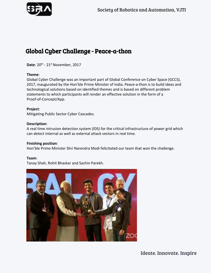

## Global Cyber Challenge - Peace-a-thon

**Date**: 20<sup>th</sup> - 21<sup>st</sup> November, 2017

#### **Theme**:

Global Cyber Challenge was an important part of Global Conference on Cyber Space (GCCS), 2017, inaugurated by the Hon'ble Prime Minister of India. Peace-a-thon is to build ideas and technological solutions based on identified themes and is based on different problem statements to which participants will render an effective solution in the form of a Proof-of-Concept/App.

**Project**: Mitigating Public Sector Cyber Cascades.

#### **Description**:

A real time intrusion detection system (IDS) for the critical infrastructure of power grid which can detect internal as well as external attack vectors in real time.

#### **Finishing position**:

Hon'ble Prime Minister Shri Narendra Modi felicitated our team that won the challenge.

#### **Team**:

Tanay Shah, Rohit Bhaskar and Sachin Parekh.

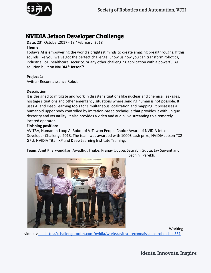

## NVIDIA Jetson Developer Challenge

**Date**: 23<sup>rd</sup> October, 2017 - 18<sup>th</sup> February, 2018

#### **Theme**:

Today's AI is empowering the world's brightest minds to create amazing breakthroughs. If this sounds like you, we've got the perfect challenge. Show us how you can transform robotics, industrial IoT, healthcare, security, or any other challenging application with a powerful AI solution built on **NVIDIA® Jetson**™.

#### **Project 1**:

Avitra - Reconnaissance Robot

#### **Description**:

It is designed to mitigate and work in disaster situations like nuclear and chemical leakages, hostage situations and other emergency situations where sending human is not possible. It uses AI and Deep Learning tools for simultaneous localization and mapping. It possesses a humanoid upper body controlled by imitation-based technique that provides it with unique dexterity and versatility. It also provides a video and audio live streaming to a remotely located operator.

#### **Finishing position**:

AVITRA, Human-in-Loop AI Robot of VJTI won People Choice Award of NVIDIA Jetson Developer Challenge 2018. The team was awarded with 1000\$ cash prize, NVIDIA Jetson TX2 GPU, NVIDIA Titan XP and Deep Learning Institute Training.

**Team**: Amit Kharwandikar, Awadhut Thube, Pranav Udupa, Saurabh Gupta, Jay Sawant and Sachin Parekh.



Working

video -> [https://challengerocket.com/nvidia/works/avitra--reconnaissance-robot-bbc561](https://challengerocket.com/nvidia/works/avitra-reconnaissance-robot-bbc561)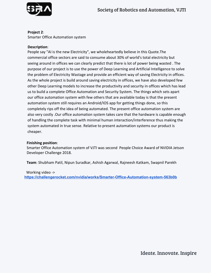

 **Project 2**: Smarter Office Automation system

#### **Description**:

People say "AI is the new Electricity", we wholeheartedly believe in this Quote.The commercial office sectors are said to consume about 30% of world's total electricity but seeing around in offices we can clearly predict that there is lot of power being wasted . The purpose of our project is to use the power of Deep Learning and Artificial Intelligence to solve the problem of Electricity Wastage and provide an efficient way of saving Electricity in offices. As the whole project is build around saving electricity in offices, we have also developed few other Deep Learning models to increase the productivity and security in offices which has lead us to build a complete Office Automation and Security System. The things which sets apart our office automation system with few others that are available today is that the present automation system still requires an Android/IOS app for getting things done, so this completely rips off the idea of being automated. The present office automation system are also very costly .Our office automation system takes care that the hardware is capable enough of handling the complete task with minimal human interaction/interference thus making the system automated in true sense. Relative to present automation systems our product is cheaper.

#### **Finishing position**:

Smarter Office Automation system of VJTI was second People Choice Award of NVIDIA Jetson Developer Challenge 2018.

**Team**: Shubham Patil, Nipun Suradkar, Ashish Agarwal, Rajneesh Katkam, Swapnil Parekh

#### Working video ->

**<https://challengerocket.com/nvidia/works/Smarter-Office-Automation-system-563b0b>**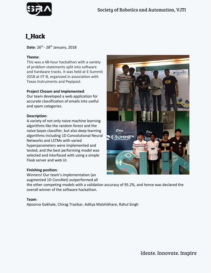

## I\_Hack

**Date**: 26<sup>th</sup> - 28<sup>th</sup> January, 2018

#### **Theme**:

This was a 48-hour hackathon with a variety of problem statements split into software and hardware tracks. It was held at E-Summit 2018 at IIT-B, organised in association with Texas Instruments and Pepipost.

#### **Project Chosen and Implemented**:

Our team developed a web application for accurate classification of emails into useful and spam categories.

#### **Description**:

A variety of not only naive machine learning algorithms like the random forest and the naive bayes classifier, but also deep learning algorithms including 1D Convolutional Neural Networks and LSTMs with varied hyperparameters were implemented and tested, and the best performing model was selected and interfaced with using a simple Flask server and web UI.

#### **Finishing position**:

Winners! Our team's implementation (an augmented 1D ConvNet) outperformed all

the other competing models with a validation accuracy of 95.2%, and hence was declared the overall winner of the software hackathon.

#### **Team**:

Apoorva Gokhale, Chirag Trasikar, Aditya Malshikhare, Rahul Singh

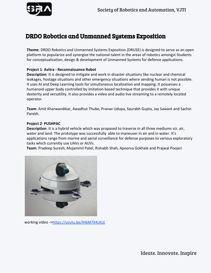

## DRDO Robotics and Unmanned Systems Exposition

**Theme**: DRDO Robotics and Unmanned Systems Exposition (DRUSE) is designed to serve as an open platform to popularize and synergize the national talent in the areas of robotics amongst Students for conceptualization, design & development of Unmanned Systems for defence applications.

#### **Project 1**: **Avitra - Reconnaissance Robot**

**Description**: It is designed to mitigate and work in disaster situations like nuclear and chemical leakages, hostage situations and other emergency situations where sending human is not possible. It uses AI and Deep Learning tools for simultaneous localization and mapping. It possesses a humanoid upper body controlled by imitation-based technique that provides it with unique dexterity and versatility. It also provides a video and audio live streaming to a remotely located operator.

**Team**: Amit Kharwandikar, Awadhut Thube, Pranav Udupa, Saurabh Gupta, Jay Sawant and Sachin Parekh.

#### **Project 2**: **PUSHPAC**

**Description**: It is a hybrid vehicle which was proposed to traverse in all three mediums viz. air, water and land. The prototype was successfully able to maneuver in air and in water. It's applications range from marine and aerial surveillance for defense purposes to various exploratory tasks which currently use UAVs or AUVs.

**Team**: Pradeep Suresh, Mujammil Patel, Rishabh Shah, Apoorva Gokhale and Prajwal Poojari



working video -><https://youtu.be/lH6M7X4LKLE>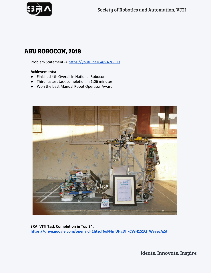

## ABU ROBOCON, 2018

Problem Statement -> [https://youtu.be/GAjVA2u-\\_1s](https://youtu.be/GAjVA2u-_1s)

#### **Achievements:**

- Finished 4th Overall in National Robocon
- Third fastest task completion in 1:06 minutes
- Won the best Manual Robot Operator Award



**SRA, VJTI Task Completion in Top 24: [https://drive.google.com/open?id=1htzcT6oN4mUHgDhkCWH1S1Q\\_WvyecAZd](https://drive.google.com/open?id=1htzcT6oN4mUHgDhkCWH1S1Q_WvyecAZd)**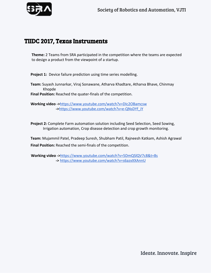

### TIIDC 2017, Texas Instruments

**Theme:** 2 Teams from SRA participated in the competition where the teams are expected to design a product from the viewpoint of a startup.

**Project 1:** Device failure prediction using time series modelling.

**Team:** Suyash Junnarkar, Viraj Sonawane, Atharva Khadtare, Atharva Bhave, Chinmay Khopde

**Final Position:** Reached the quater-finals of the competition.

**Working video ->**<https://www.youtube.com/watch?v=DIc2OBamcsw>  **->**[https://www.youtube.com/watch?v=e-QNsDYf\\_iY](https://www.youtube.com/watch?v=e-QNsDYf_iY)

**Project 2:** Complete Farm automation solution including Seed Selection, Seed Sowing, Irrigation automation, Crop disease detection and crop growth monitoring.

**Team:** Mujammil Patel, Pradeep Suresh, Shubham Patil, Rajneesh Katkam, Ashish Agrawal **Final Position:** Reached the semi-finals of the competition.

 **Working video ->**<https://www.youtube.com/watch?v=5DmQSlQV7c8&t=8s>  **->** <https://www.youtube.com/watch?v=s6azxXXAnnU>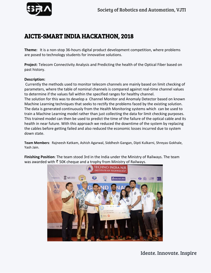

## AICTE-SMART INDIA HACKATHON, 2018

**Theme:** It is a non-stop 36-hours digital product development competition, where problems are posed to technology students for innovative solutions.

**Project**: Telecom Connectivity Analysis and Predicting the health of the Optical Fiber based on past history.

#### **Description:**

Currently the methods used to monitor telecom channels are mainly based on limit checking of parameters, where the table of nominal channels is compared against real-time channel values to determine if the values fall within the specified ranges for healthy channel. The solution for this was to develop a Channel Monitor and Anomaly Detector based on known

Machine Learning techniques that seeks to rectify the problems faced by the existing solution. The data is generated continuously from the Health Monitoring systems which can be used to train a Machine Learning model rather than just collecting the data for limit checking purposes. This trained model can then be used to predict the time of the failure of the optical cable and its health in near future. With this approach we reduced the downtime of the system by replacing the cables before getting failed and also reduced the economic losses incurred due to system down state.

**Team Members**: Rajneesh Katkam, Ashish Agarwal, Siddhesh Gangan, Dipti Kulkarni, Shreyas Gokhale, Yash Jain.

**FInishing Position**: The team stood 3rd in the India under the Ministry of Railways. The team was awarded with ₹ 50K cheque and a trophy from Ministry of Railways.

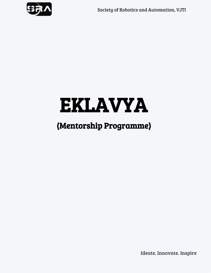

## EKLAVYA

## (Mentorship Programme)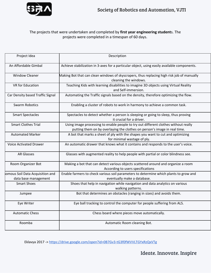

#### The projects that were undertaken and completed by **first year engineering student**s. The projects were completed in a timespan of 60 days.

| Project Idea                                            | Description                                                                                                                                                      |
|---------------------------------------------------------|------------------------------------------------------------------------------------------------------------------------------------------------------------------|
| An Affordable Gimbal                                    | Achieve stabilization in 3-axes for a particular object, using easily available components.                                                                      |
| <b>Window Cleaner</b>                                   | Making Bot that can clean windows of skyscrapers, thus replacing high risk job of manually<br>cleaning the windows.                                              |
| VR for Education                                        | Teaching Kids with learning disabilities to imagine 3D objects using Virtual Reality<br>and Self-immersion.                                                      |
| Car Density based Traffic Signal                        | Automating the Traffic signals based on the density, therefore optimizing the flow.                                                                              |
| Swarm Robotics                                          | Enabling a cluster of robots to work in harmony to achieve a common task.                                                                                        |
| <b>Smart Spectacles</b>                                 | Spectacles to detect whether a person is sleeping or going to sleep, thus proving<br>it crucial for a driver.                                                    |
| <b>Smart Clothes Trial</b>                              | Using image processing to enable people to try out different clothes without really<br>putting them on by overlaying the clothes on person's image in real time. |
| <b>Automated Marker</b>                                 | A bot that marks a sheet of ply with the shapes you want to cut and optimizing<br>for minimal wastage of ply.                                                    |
| <b>Voice Activated Drawer</b>                           | An automatic drawer that knows what it contains and responds to the user's voice.                                                                                |
| <b>AR Glasses</b>                                       | Glasses with augmented reality to help people with partial or color blindness see.                                                                               |
| Room Organizer Bot                                      | Making a bot that can detect various objects scattered around and organize a room<br>According to users specifications                                           |
| omous Soil Data Acquisition and<br>data base management | Enable farmers to check various soil parameters to determine which plants to grow and<br>eventually make a database.                                             |
| <b>Smart Shoes</b>                                      | Shoes that help in navigation while navigation and data analytics on various<br>walking patterns.                                                                |
| Jumpee                                                  | Bot that determines an obstacles (ranging in sizes) and avoids them.                                                                                             |
| Eye Writer                                              | Eye ball tracking to control the computer for people suffering from ALS.                                                                                         |
| <b>Automatic Chess</b>                                  | Chess board where pieces move automatically.                                                                                                                     |
| Roomba                                                  | Automatic Room cleaning Bot.                                                                                                                                     |

Eklavya 2017 -> <https://drive.google.com/open?id=0B7Gv3-tG3f0fWVVLTGYxRzQxVTg>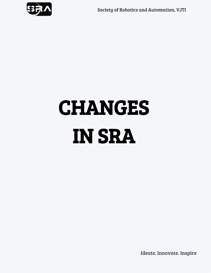

# CHANGES IN SRA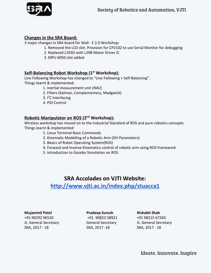

#### **Changes in the SRA Board:**

3 major changes in SRA board for Wall - E 2.0 Workshop:

- 1. Removed the LCD slot. Provision for CP2102 to use Serial Monitor for debugging
- 2. Replaced L293D with L298 Motor Driver IC
- 3. MPU 6050 slot added

### **Self-Balancing Robot Workshop (1 st Workshop)**:

Line Following Workshop has changed to "Line Following + Self-Balancing". Things learnt & implemented:

- 1. Inertial measurement unit (IMU)
- 2. Filters (Kalman, Complementary, Madgwick)
- 3.  $I^2C$  interfacing
- 4. PID Control

### **Robotic Manipulator on ROS (2 nd Workshop):**

Wireless workshop has moved on to the Industrial Standard of ROS and pure robotics concepts Things learnt & implemented:

- 1. Linux Terminal Basic Commands
- 2. Kinematic Modelling of a Robotic Arm (DH Parameters)
- 3. Basics of Robot Operating System(ROS)
- 4. Forward and Inverse Kinematics control of robotic arm using ROS framework
- 5. Introduction to Gazebo Simulation on ROS

### **SRA Accolades on VJTI Website:**

**<http://www.vjti.ac.in/index.php/stuacca1>**

#### **Mujammil Patel Pradeep Suresh Rishabh Shah**

+91 90292 96520 +91 90823 58921 +91 98215 67260 Jt. General Secretary General Secretary Jt. General Secretary SRA, 2017 - 18 SRA, 2017 -18 SRA, 2017 - 18